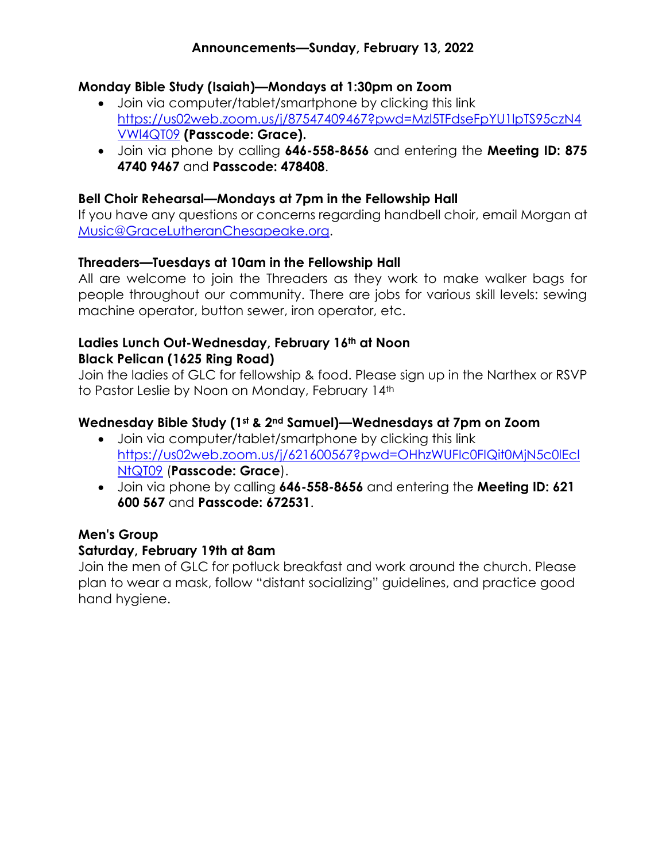## **Announcements—Sunday, February 13, 2022**

## **Monday Bible Study (Isaiah)—Mondays at 1:30pm on Zoom**

- Join via computer/tablet/smartphone by clicking this link [https://us02web.zoom.us/j/87547409467?pwd=Mzl5TFdseFpYU1lpTS95czN4](https://us02web.zoom.us/j/87547409467?pwd=Mzl5TFdseFpYU1lpTS95czN4VWl4QT09) [VWl4QT09](https://us02web.zoom.us/j/87547409467?pwd=Mzl5TFdseFpYU1lpTS95czN4VWl4QT09) **(Passcode: Grace).**
- Join via phone by calling **646-558-8656** and entering the **Meeting ID: 875 4740 9467** and **Passcode: 478408**.

#### **Bell Choir Rehearsal—Mondays at 7pm in the Fellowship Hall**

If you have any questions or concerns regarding handbell choir, email Morgan at [Music@GraceLutheranChesapeake.org.](mailto:music@gracelutheranchesapeake.org?subject=Bell%20Choir)

#### **Threaders—Tuesdays at 10am in the Fellowship Hall**

All are welcome to join the Threaders as they work to make walker bags for people throughout our community. There are jobs for various skill levels: sewing machine operator, button sewer, iron operator, etc.

#### **Ladies Lunch Out-Wednesday, February 16th at Noon Black Pelican (1625 Ring Road)**

Join the ladies of GLC for fellowship & food. Please sign up in the Narthex or RSVP to Pastor Leslie by Noon on Monday, February 14th

#### **Wednesday Bible Study (1st & 2nd Samuel)—Wednesdays at 7pm on Zoom**

- Join via computer/tablet/smartphone by clicking this link [https://us02web.zoom.us/j/621600567?pwd=OHhzWUFIc0FIQit0MjN5c0lEcl](https://us02web.zoom.us/j/621600567?pwd=OHhzWUFIc0FIQit0MjN5c0lEclNtQT09) [NtQT09](https://us02web.zoom.us/j/621600567?pwd=OHhzWUFIc0FIQit0MjN5c0lEclNtQT09) (**Passcode: Grace**).
- Join via phone by calling **646-558-8656** and entering the **Meeting ID: 621 600 567** and **Passcode: 672531**.

## **Men's Group**

#### **Saturday, February 19th at 8am**

Join the men of GLC for potluck breakfast and work around the church. Please plan to wear a mask, follow "distant socializing" guidelines, and practice good hand hygiene.